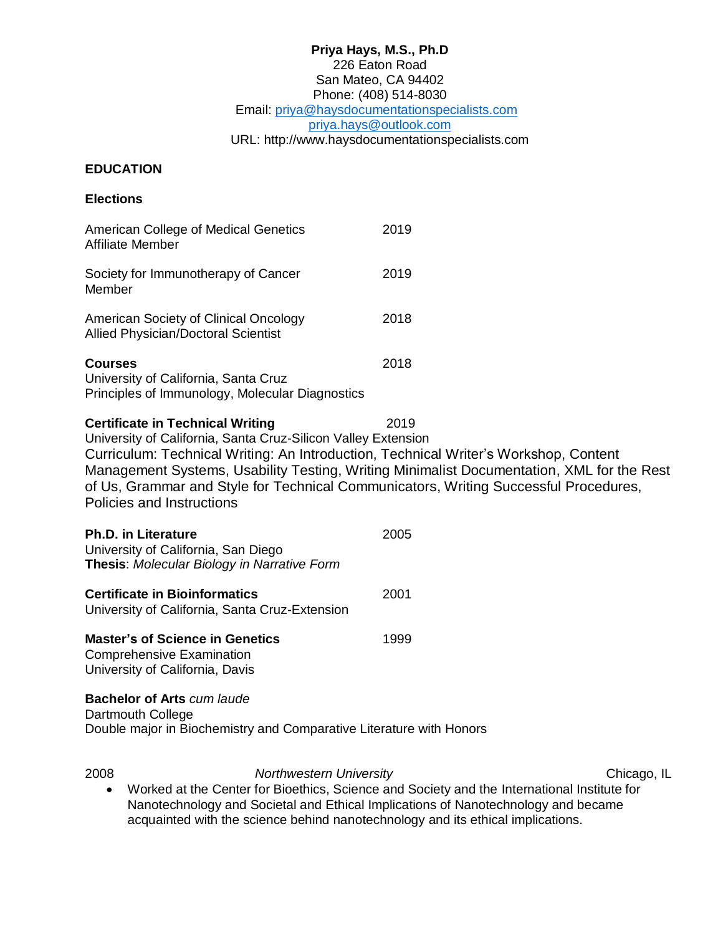#### **Priya Hays, M.S., Ph.D** 226 Eaton Road San Mateo, CA 94402 Phone: (408) 514-8030 Email: [priya@haysdocumentationspecialists.com](mailto:priya@haysdocumentationspecialists.com) [priya.hays@outlook.com](mailto:priya.hays@outlook.com) URL: http://www.haysdocumentationspecialists.com

#### **EDUCATION**

**Elections**

| American College of Medical Genetics<br>Affiliate Member                                                  | 2019 |
|-----------------------------------------------------------------------------------------------------------|------|
| Society for Immunotherapy of Cancer<br>Member                                                             | 2019 |
| American Society of Clinical Oncology<br>Allied Physician/Doctoral Scientist                              | 2018 |
| <b>Courses</b><br>University of California, Santa Cruz<br>Principles of Immunology, Molecular Diagnostics | 2018 |

**Certificate in Technical Writing 2019** University of California, Santa Cruz-Silicon Valley Extension Curriculum: Technical Writing: An Introduction, Technical Writer's Workshop, Content Management Systems, Usability Testing, Writing Minimalist Documentation, XML for the Rest of Us, Grammar and Style for Technical Communicators, Writing Successful Procedures, Policies and Instructions

| <b>Ph.D. in Literature</b><br>University of California, San Diego<br>Thesis: Molecular Biology in Narrative Form | 2005 |  |
|------------------------------------------------------------------------------------------------------------------|------|--|
| <b>Certificate in Bioinformatics</b><br>University of California, Santa Cruz-Extension                           | 2001 |  |
| <b>Master's of Science in Genetics</b><br><b>Comprehensive Examination</b><br>University of California, Davis    | 1999 |  |
| <b>Bachelor of Arts cum laude</b>                                                                                |      |  |

Dartmouth College Double major in Biochemistry and Comparative Literature with Honors

2008 *Northwestern University* Chicago, IL

 Worked at the Center for Bioethics, Science and Society and the International Institute for Nanotechnology and Societal and Ethical Implications of Nanotechnology and became acquainted with the science behind nanotechnology and its ethical implications.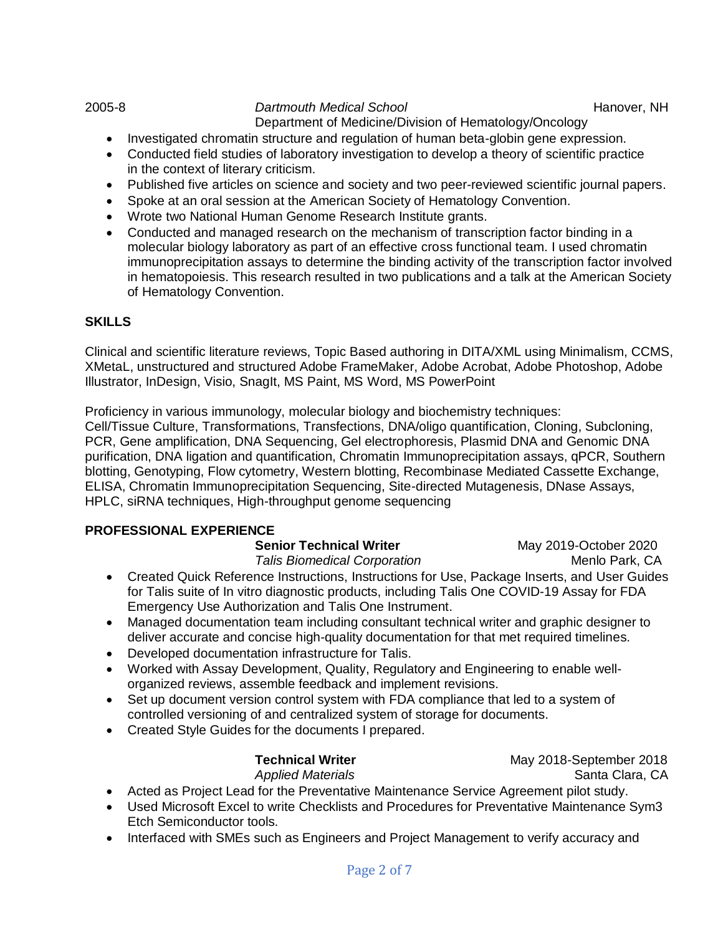2005-8 *Dartmouth Medical School* Hanover, NH Department of Medicine/Division of Hematology/Oncology

- Investigated chromatin structure and regulation of human beta-globin gene expression.
- Conducted field studies of laboratory investigation to develop a theory of scientific practice in the context of literary criticism.
- Published five articles on science and society and two peer-reviewed scientific journal papers.
- Spoke at an oral session at the American Society of Hematology Convention.
- Wrote two National Human Genome Research Institute grants.
- Conducted and managed research on the mechanism of transcription factor binding in a molecular biology laboratory as part of an effective cross functional team. I used chromatin immunoprecipitation assays to determine the binding activity of the transcription factor involved in hematopoiesis. This research resulted in two publications and a talk at the American Society of Hematology Convention.

# **SKILLS**

Clinical and scientific literature reviews, Topic Based authoring in DITA/XML using Minimalism, CCMS, XMetaL, unstructured and structured Adobe FrameMaker, Adobe Acrobat, Adobe Photoshop, Adobe Illustrator, InDesign, Visio, SnagIt, MS Paint, MS Word, MS PowerPoint

Proficiency in various immunology, molecular biology and biochemistry techniques: Cell/Tissue Culture, Transformations, Transfections, DNA/oligo quantification, Cloning, Subcloning, PCR, Gene amplification, DNA Sequencing, Gel electrophoresis, Plasmid DNA and Genomic DNA purification, DNA ligation and quantification, Chromatin Immunoprecipitation assays, qPCR, Southern blotting, Genotyping, Flow cytometry, Western blotting, Recombinase Mediated Cassette Exchange, ELISA, Chromatin Immunoprecipitation Sequencing, Site-directed Mutagenesis, DNase Assays, HPLC, siRNA techniques, High-throughput genome sequencing

### **PROFESSIONAL EXPERIENCE**

**Senior Technical Writer** May 2019-October 2020

**Talis Biomedical Corporation** Menlo Park, CA

- Created Quick Reference Instructions, Instructions for Use, Package Inserts, and User Guides for Talis suite of In vitro diagnostic products, including Talis One COVID-19 Assay for FDA Emergency Use Authorization and Talis One Instrument.
- Managed documentation team including consultant technical writer and graphic designer to deliver accurate and concise high-quality documentation for that met required timelines.
- Developed documentation infrastructure for Talis.
- Worked with Assay Development, Quality, Regulatory and Engineering to enable wellorganized reviews, assemble feedback and implement revisions.
- Set up document version control system with FDA compliance that led to a system of controlled versioning of and centralized system of storage for documents.
- Created Style Guides for the documents I prepared.

**Technical Writer** May 2018-September 2018 **Applied Materials CA** 

- Acted as Project Lead for the Preventative Maintenance Service Agreement pilot study.
- Used Microsoft Excel to write Checklists and Procedures for Preventative Maintenance Sym3 Etch Semiconductor tools.
- Interfaced with SMEs such as Engineers and Project Management to verify accuracy and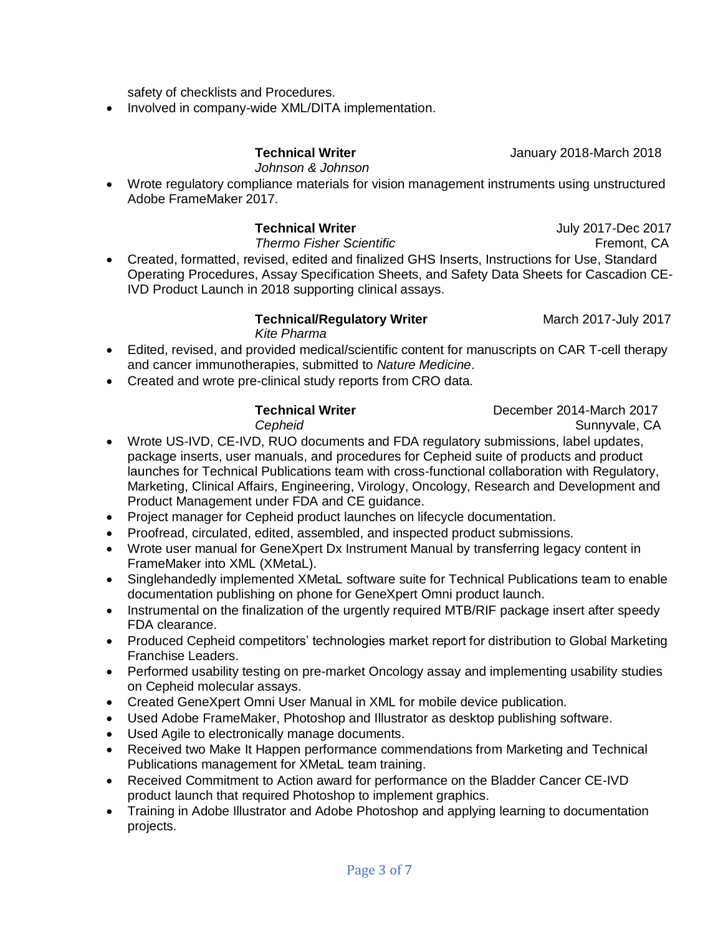Page 3 of 7

safety of checklists and Procedures.

• Involved in company-wide XML/DITA implementation.

# **Technical Writer January 2018-March 2018**

*Johnson & Johnson*

 Wrote regulatory compliance materials for vision management instruments using unstructured Adobe FrameMaker 2017.

# **Technical Writer July 2017-Dec 2017**

**Thermo Fisher Scientific** The **Fremont**, CA Created, formatted, revised, edited and finalized GHS Inserts, Instructions for Use, Standard Operating Procedures, Assay Specification Sheets, and Safety Data Sheets for Cascadion CE-IVD Product Launch in 2018 supporting clinical assays.

#### **Technical/Regulatory Writer** March 2017-July 2017 *Kite Pharma*

- Edited, revised, and provided medical/scientific content for manuscripts on CAR T-cell therapy and cancer immunotherapies, submitted to *Nature Medicine*.
- Created and wrote pre-clinical study reports from CRO data.

- **Technical Writer** December 2014-March 2017 **Cepheid** Sunnyvale, CA
- Wrote US-IVD, CE-IVD, RUO documents and FDA regulatory submissions, label updates, package inserts, user manuals, and procedures for Cepheid suite of products and product launches for Technical Publications team with cross-functional collaboration with Regulatory, Marketing, Clinical Affairs, Engineering, Virology, Oncology, Research and Development and Product Management under FDA and CE guidance.
- Project manager for Cepheid product launches on lifecycle documentation.
- Proofread, circulated, edited, assembled, and inspected product submissions.
- Wrote user manual for GeneXpert Dx Instrument Manual by transferring legacy content in FrameMaker into XML (XMetaL).
- Singlehandedly implemented XMetaL software suite for Technical Publications team to enable documentation publishing on phone for GeneXpert Omni product launch.
- Instrumental on the finalization of the urgently required MTB/RIF package insert after speedy FDA clearance.
- Produced Cepheid competitors' technologies market report for distribution to Global Marketing Franchise Leaders.
- Performed usability testing on pre-market Oncology assay and implementing usability studies on Cepheid molecular assays.
- Created GeneXpert Omni User Manual in XML for mobile device publication.
- Used Adobe FrameMaker, Photoshop and Illustrator as desktop publishing software.
- Used Agile to electronically manage documents.
- Received two Make It Happen performance commendations from Marketing and Technical Publications management for XMetaL team training.
- Received Commitment to Action award for performance on the Bladder Cancer CE-IVD product launch that required Photoshop to implement graphics.
- Training in Adobe Illustrator and Adobe Photoshop and applying learning to documentation projects.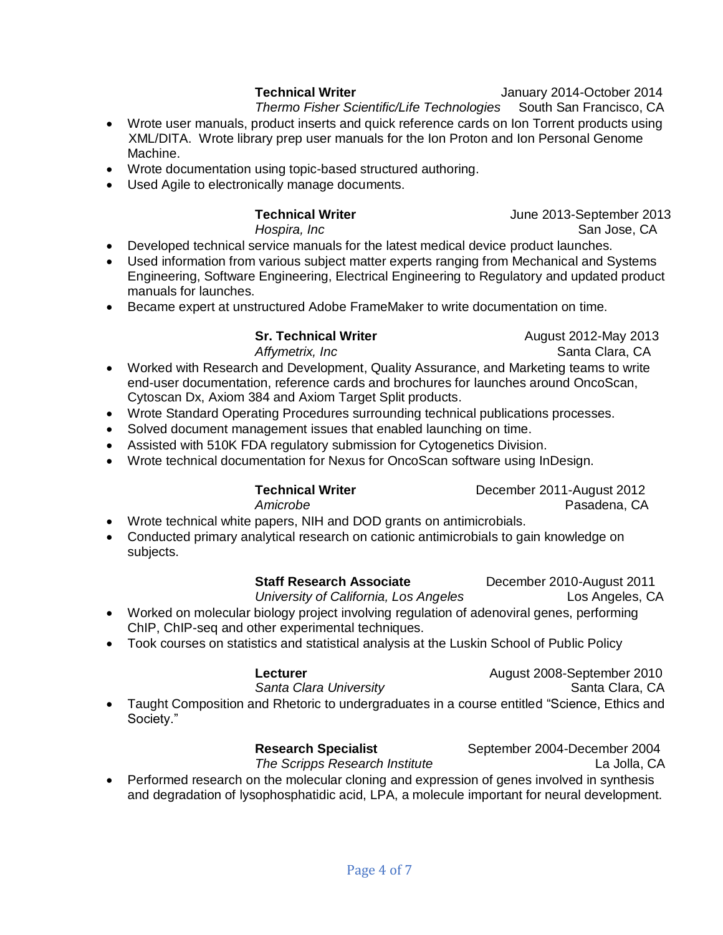Wrote documentation using topic-based structured authoring.

Used Agile to electronically manage documents.

Machine.

**Technical Writer** June 2013-September 2013 *Hospira, Inc* **San Jose, CA** 

- Developed technical service manuals for the latest medical device product launches.
- Used information from various subject matter experts ranging from Mechanical and Systems Engineering, Software Engineering, Electrical Engineering to Regulatory and updated product manuals for launches.

 Wrote user manuals, product inserts and quick reference cards on Ion Torrent products using XML/DITA. Wrote library prep user manuals for the Ion Proton and Ion Personal Genome

Became expert at unstructured Adobe FrameMaker to write documentation on time.

**Sr. Technical Writer**  August 2012-May 2013

- *Affymetrix, Inc* **Santa Clara, CA**  Worked with Research and Development, Quality Assurance, and Marketing teams to write end-user documentation, reference cards and brochures for launches around OncoScan, Cytoscan Dx, Axiom 384 and Axiom Target Split products.
	- Wrote Standard Operating Procedures surrounding technical publications processes.
	- Solved document management issues that enabled launching on time.
	- Assisted with 510K FDA regulatory submission for Cytogenetics Division.
	- Wrote technical documentation for Nexus for OncoScan software using InDesign.

# **Technical Writer**  December 2011-August 2012

*Amicrobe* Pasadena, CA

**Technical Writer Technical Writer January 2014-October 2014** *Thermo Fisher Scientific/Life Technologies* South San Francisco, CA

- Wrote technical white papers, NIH and DOD grants on antimicrobials.
- Conducted primary analytical research on cationic antimicrobials to gain knowledge on subjects.

# **Staff Research Associate** December 2010-August 2011

- *University of California, Los Angeles* Los Angeles, CA Worked on molecular biology project involving regulation of adenoviral genes, performing ChIP, ChIP-seq and other experimental techniques.
- Took courses on statistics and statistical analysis at the Luskin School of Public Policy

| Lecturer                                                                                                   | August 2008-September 2010 |
|------------------------------------------------------------------------------------------------------------|----------------------------|
| Santa Clara University                                                                                     | Santa Clara, CA            |
| • Taught Composition and Rhetoric to undergraduates in a course entitled "Science, Ethics and<br>Society." |                            |

**Research Specialist** September 2004-December 2004 *The Scripps Research Institute* La Jolla, CA

• Performed research on the molecular cloning and expression of genes involved in synthesis and degradation of lysophosphatidic acid, LPA, a molecule important for neural development.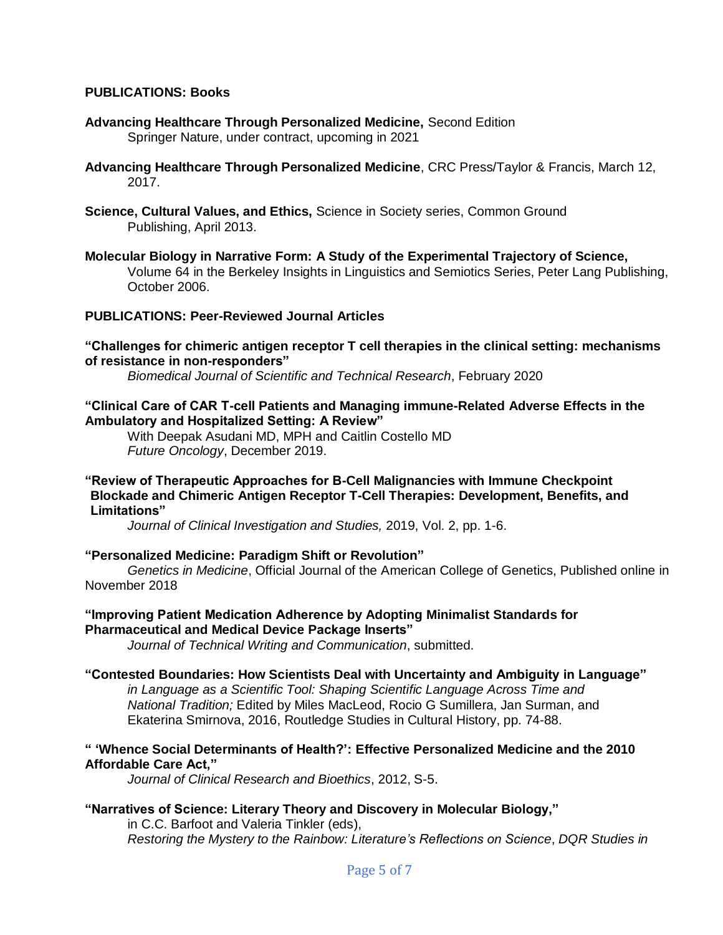#### **PUBLICATIONS: Books**

- **Advancing Healthcare Through Personalized Medicine,** Second Edition Springer Nature, under contract, upcoming in 2021
- **Advancing Healthcare Through Personalized Medicine**, CRC Press/Taylor & Francis, March 12, 2017.
- **Science, Cultural Values, and Ethics,** Science in Society series, Common Ground Publishing, April 2013.
- **Molecular Biology in Narrative Form: A Study of the Experimental Trajectory of Science,**  Volume 64 in the Berkeley Insights in Linguistics and Semiotics Series, Peter Lang Publishing, October 2006.

#### **PUBLICATIONS: Peer-Reviewed Journal Articles**

#### **"Challenges for chimeric antigen receptor T cell therapies in the clinical setting: mechanisms of resistance in non-responders"**

*Biomedical Journal of Scientific and Technical Research*, February 2020

#### **"Clinical Care of CAR T-cell Patients and Managing immune-Related Adverse Effects in the Ambulatory and Hospitalized Setting: A Review"**

With Deepak Asudani MD, MPH and Caitlin Costello MD *Future Oncology*, December 2019.

#### **"Review of Therapeutic Approaches for B-Cell Malignancies with Immune Checkpoint Blockade and Chimeric Antigen Receptor T-Cell Therapies: Development, Benefits, and Limitations"**

*Journal of Clinical Investigation and Studies,* 2019, Vol. 2, pp. 1-6.

### **"Personalized Medicine: Paradigm Shift or Revolution"**

*Genetics in Medicine*, Official Journal of the American College of Genetics, Published online in November 2018

#### **"Improving Patient Medication Adherence by Adopting Minimalist Standards for Pharmaceutical and Medical Device Package Inserts"**

*Journal of Technical Writing and Communication*, submitted.

#### **"Contested Boundaries: How Scientists Deal with Uncertainty and Ambiguity in Language"**

*in Language as a Scientific Tool: Shaping Scientific Language Across Time and National Tradition;* Edited by Miles MacLeod, Rocio G Sumillera, Jan Surman, and Ekaterina Smirnova, 2016, Routledge Studies in Cultural History, pp. 74-88.

### **" 'Whence Social Determinants of Health?': Effective Personalized Medicine and the 2010 Affordable Care Act,"**

*Journal of Clinical Research and Bioethics*, 2012, S-5.

### **"Narratives of Science: Literary Theory and Discovery in Molecular Biology,"**

in C.C. Barfoot and Valeria Tinkler (eds), *Restoring the Mystery to the Rainbow: Literature's Reflections on Science*, *DQR Studies in*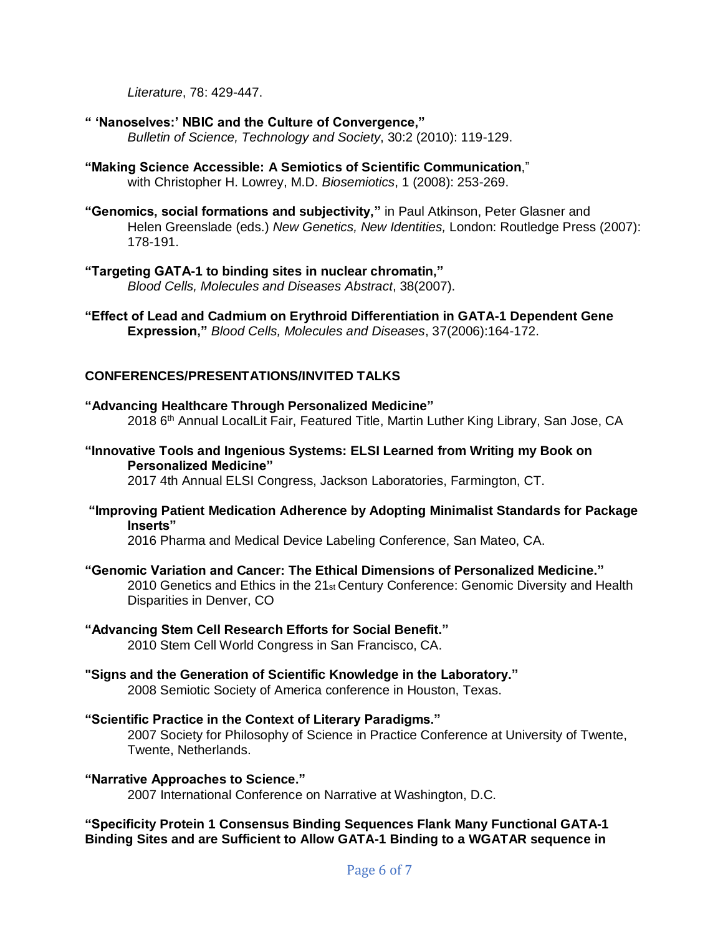*Literature*, 78: 429-447.

#### **" 'Nanoselves:' NBIC and the Culture of Convergence,"**

*Bulletin of Science, Technology and Society*, 30:2 (2010): 119-129.

- **"Making Science Accessible: A Semiotics of Scientific Communication**," with Christopher H. Lowrey, M.D. *Biosemiotics*, 1 (2008): 253-269.
- **"Genomics, social formations and subjectivity,"** in Paul Atkinson, Peter Glasner and Helen Greenslade (eds.) *New Genetics, New Identities,* London: Routledge Press (2007): 178-191.

# **"Targeting GATA-1 to binding sites in nuclear chromatin,"**

*Blood Cells, Molecules and Diseases Abstract*, 38(2007).

**"Effect of Lead and Cadmium on Erythroid Differentiation in GATA-1 Dependent Gene Expression,"** *Blood Cells, Molecules and Diseases*, 37(2006):164-172.

# **CONFERENCES/PRESENTATIONS/INVITED TALKS**

# **"Advancing Healthcare Through Personalized Medicine"** 2018 6<sup>th</sup> Annual LocalLit Fair, Featured Title, Martin Luther King Library, San Jose, CA

**"Innovative Tools and Ingenious Systems: ELSI Learned from Writing my Book on Personalized Medicine"**

2017 4th Annual ELSI Congress, Jackson Laboratories, Farmington, CT.

**"Improving Patient Medication Adherence by Adopting Minimalist Standards for Package Inserts"**

2016 Pharma and Medical Device Labeling Conference, San Mateo, CA.

### **"Genomic Variation and Cancer: The Ethical Dimensions of Personalized Medicine."**

2010 Genetics and Ethics in the  $21<sub>st</sub>$  Century Conference: Genomic Diversity and Health Disparities in Denver, CO

### **"Advancing Stem Cell Research Efforts for Social Benefit."**

2010 Stem Cell World Congress in San Francisco, CA.

### **"Signs and the Generation of Scientific Knowledge in the Laboratory."**

2008 Semiotic Society of America conference in Houston, Texas.

### **"Scientific Practice in the Context of Literary Paradigms."**

2007 Society for Philosophy of Science in Practice Conference at University of Twente, Twente, Netherlands.

#### **"Narrative Approaches to Science."**

2007 International Conference on Narrative at Washington, D.C.

### **"Specificity Protein 1 Consensus Binding Sequences Flank Many Functional GATA-1 Binding Sites and are Sufficient to Allow GATA-1 Binding to a WGATAR sequence in**